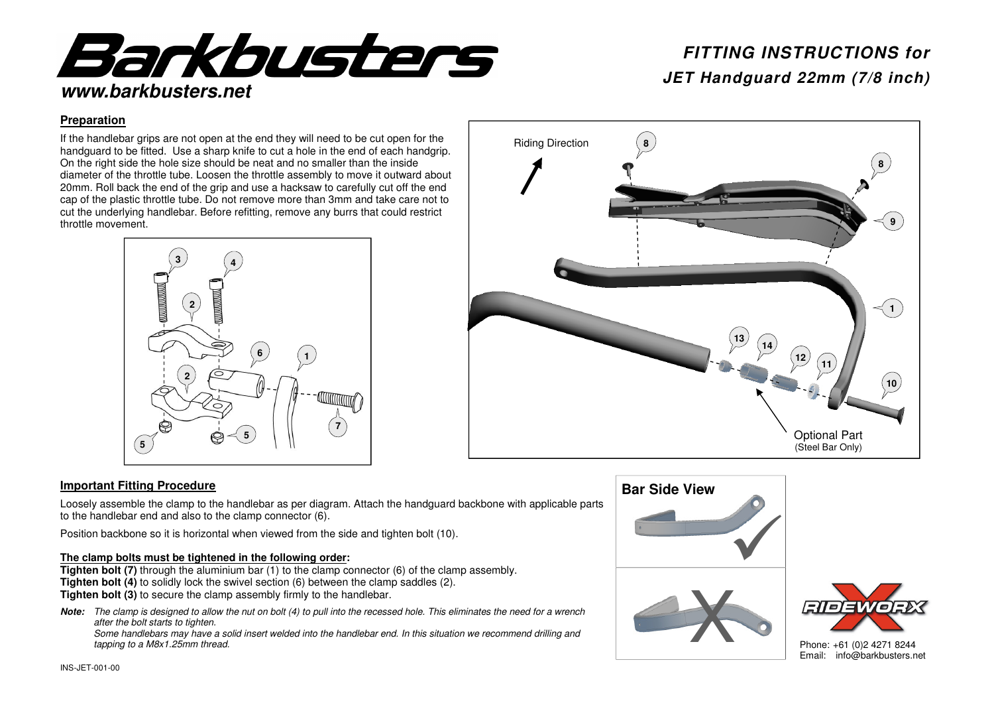

# *FITTING INSTRUCTIONS for*

**14** 

**12** 

**11** 

Optional Part (Steel Bar Only) **8** 

 **9** 

**10** 

 $\leq$  1

### **Preparation**

If the handlebar grips are not open at the end they will need to be cut open for the handguard to be fitted. Use a sharp knife to cut a hole in the end of each handgrip. On the right side the hole size should be neat and no smaller than the inside diameter of the throttle tube. Loosen the throttle assembly to move it outward about 20mm. Roll back the end of the grip and use a hacksaw to carefully cut off the end cap of the plastic throttle tube. Do not remove more than 3mm and take care not to cut the underlying handlebar. Before refitting, remove any burrs that could restrict throttle movement.



# **13**

Riding Direction

**8** 

### **Important Fitting Procedure**

Loosely assemble the clamp to the handlebar as per diagram. Attach the handguard backbone with applicable parts to the handlebar end and also to the clamp connector (6).

Position backbone so it is horizontal when viewed from the side and tighten bolt (10).

### **The clamp bolts must be tightened in the following order:**

 **Tighten bolt (7)** through the aluminium bar (1) to the clamp connector (6) of the clamp assembly. **Tighten bolt (4)** to solidly lock the swivel section (6) between the clamp saddles (2). **Tighten bolt (3)** to secure the clamp assembly firmly to the handlebar.

*Note:* The clamp is designed to allow the nut on bolt (4) to pull into the recessed hole. This eliminates the need for a wrench after the bolt starts to tighten.

 Some handlebars may have a solid insert welded into the handlebar end. In this situation we recommend drilling and tapping to a M8x1.25mm thread.







Phone: +61 (0)2 4271 8244 Email: info@barkbusters.net